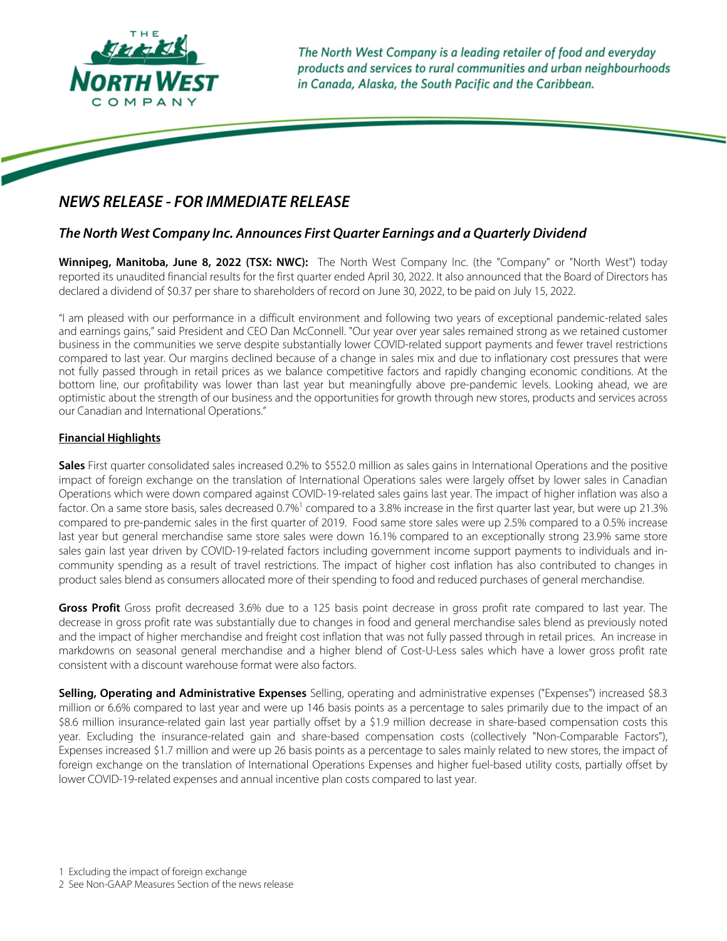

The North West Company is a leading retailer of food and everyday products and services to rural communities and urban neighbourhoods in Canada, Alaska, the South Pacific and the Caribbean.

# **NEWS RELEASE - FOR IMMEDIATE RELEASE**

## *The North West Company Inc. Announces First Quarter Earnings and a Quarterly Dividend*

**Winnipeg, Manitoba, June 8, 2022 (TSX: NWC):** The North West Company Inc. (the "Company" or "North West") today reported its unaudited financial results for the first quarter ended April 30, 2022. It also announced that the Board of Directors has declared a dividend of \$0.37 per share to shareholders of record on June 30, 2022, to be paid on July 15, 2022.

"I am pleased with our performance in a difficult environment and following two years of exceptional pandemic-related sales and earnings gains," said President and CEO Dan McConnell. "Our year over year sales remained strong as we retained customer business in the communities we serve despite substantially lower COVID-related support payments and fewer travel restrictions compared to last year. Our margins declined because of a change in sales mix and due to inflationary cost pressures that were not fully passed through in retail prices as we balance competitive factors and rapidly changing economic conditions. At the bottom line, our profitability was lower than last year but meaningfully above pre-pandemic levels. Looking ahead, we are optimistic about the strength of our business and the opportunities for growth through new stores, products and services across our Canadian and International Operations."

## **Financial Highlights**

**Sales** First quarter consolidated sales increased 0.2% to \$552.0 million as sales gains in International Operations and the positive impact of foreign exchange on the translation of International Operations sales were largely offset by lower sales in Canadian Operations which were down compared against COVID-19-related sales gains last year. The impact of higher inflation was also a factor. On a same store basis, sales decreased 0.7%<sup>1</sup> compared to a 3.8% increase in the first quarter last year, but were up 21.3% compared to pre-pandemic sales in the first quarter of 2019. Food same store sales were up 2.5% compared to a 0.5% increase last year but general merchandise same store sales were down 16.1% compared to an exceptionally strong 23.9% same store sales gain last year driven by COVID-19-related factors including government income support payments to individuals and incommunity spending as a result of travel restrictions. The impact of higher cost inflation has also contributed to changes in product sales blend as consumers allocated more of their spending to food and reduced purchases of general merchandise.

**Gross Profit** Gross profit decreased 3.6% due to a 125 basis point decrease in gross profit rate compared to last year. The decrease in gross profit rate was substantially due to changes in food and general merchandise sales blend as previously noted and the impact of higher merchandise and freight cost inflation that was not fully passed through in retail prices. An increase in markdowns on seasonal general merchandise and a higher blend of Cost-U-Less sales which have a lower gross profit rate consistent with a discount warehouse format were also factors.

**Selling, Operating and Administrative Expenses** Selling, operating and administrative expenses ("Expenses") increased \$8.3 million or 6.6% compared to last year and were up 146 basis points as a percentage to sales primarily due to the impact of an \$8.6 million insurance-related gain last year partially offset by a \$1.9 million decrease in share-based compensation costs this year. Excluding the insurance-related gain and share-based compensation costs (collectively "Non-Comparable Factors"), Expenses increased \$1.7 million and were up 26 basis points as a percentage to sales mainly related to new stores, the impact of foreign exchange on the translation of International Operations Expenses and higher fuel-based utility costs, partially offset by lower COVID-19-related expenses and annual incentive plan costs compared to last year.

2 See Non-GAAP Measures Section of the news release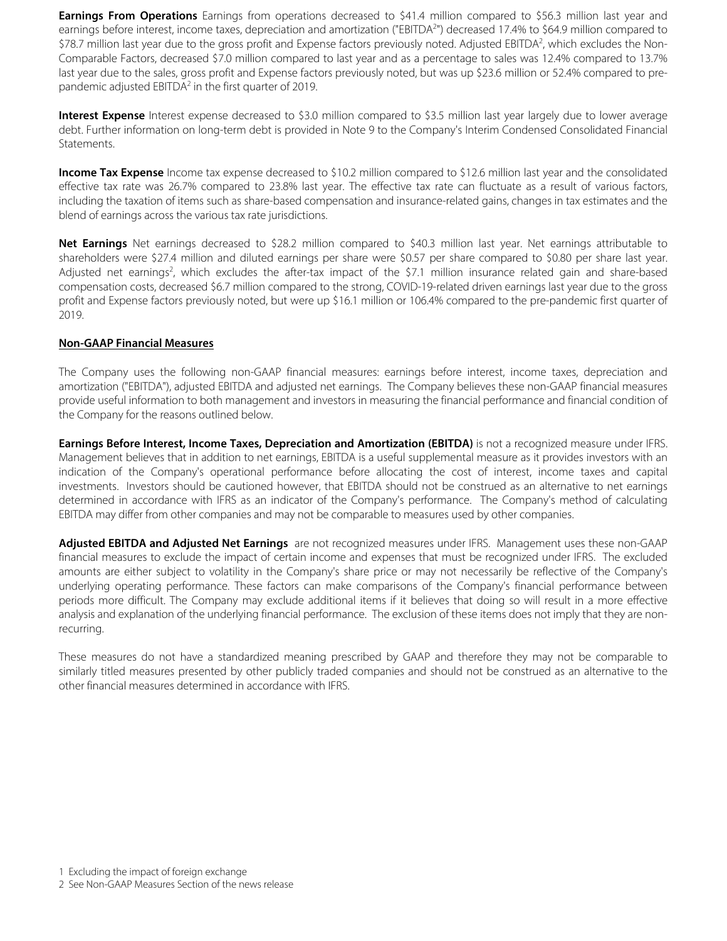**Earnings From Operations** Earnings from operations decreased to \$41.4 million compared to \$56.3 million last year and earnings before interest, income taxes, depreciation and amortization ("EBITDA<sup>2</sup>") decreased 17.4% to \$64.9 million compared to \$78.7 million last year due to the gross profit and Expense factors previously noted. Adjusted EBITDA<sup>2</sup>, which excludes the Non-Comparable Factors, decreased \$7.0 million compared to last year and as a percentage to sales was 12.4% compared to 13.7% last year due to the sales, gross profit and Expense factors previously noted, but was up \$23.6 million or 52.4% compared to prepandemic adjusted EBITDA<sup>2</sup> in the first quarter of 2019.

**Interest Expense** Interest expense decreased to \$3.0 million compared to \$3.5 million last year largely due to lower average debt. Further information on long-term debt is provided in Note 9 to the Company's Interim Condensed Consolidated Financial Statements.

**Income Tax Expense** Income tax expense decreased to \$10.2 million compared to \$12.6 million last year and the consolidated effective tax rate was 26.7% compared to 23.8% last year. The effective tax rate can fluctuate as a result of various factors, including the taxation of items such as share-based compensation and insurance-related gains, changes in tax estimates and the blend of earnings across the various tax rate jurisdictions.

**Net Earnings** Net earnings decreased to \$28.2 million compared to \$40.3 million last year. Net earnings attributable to shareholders were \$27.4 million and diluted earnings per share were \$0.57 per share compared to \$0.80 per share last year. Adjusted net earnings<sup>2</sup>, which excludes the after-tax impact of the \$7.1 million insurance related gain and share-based compensation costs, decreased \$6.7 million compared to the strong, COVID-19-related driven earnings last year due to the gross profit and Expense factors previously noted, but were up \$16.1 million or 106.4% compared to the pre-pandemic first quarter of 2019.

## **Non-GAAP Financial Measures**

The Company uses the following non-GAAP financial measures: earnings before interest, income taxes, depreciation and amortization ("EBITDA"), adjusted EBITDA and adjusted net earnings. The Company believes these non-GAAP financial measures provide useful information to both management and investors in measuring the financial performance and financial condition of the Company for the reasons outlined below.

**Earnings Before Interest, Income Taxes, Depreciation and Amortization (EBITDA)** is not a recognized measure under IFRS. Management believes that in addition to net earnings, EBITDA is a useful supplemental measure as it provides investors with an indication of the Company's operational performance before allocating the cost of interest, income taxes and capital investments. Investors should be cautioned however, that EBITDA should not be construed as an alternative to net earnings determined in accordance with IFRS as an indicator of the Company's performance. The Company's method of calculating EBITDA may differ from other companies and may not be comparable to measures used by other companies.

**Adjusted EBITDA and Adjusted Net Earnings** are not recognized measures under IFRS. Management uses these non-GAAP financial measures to exclude the impact of certain income and expenses that must be recognized under IFRS. The excluded amounts are either subject to volatility in the Company's share price or may not necessarily be reflective of the Company's underlying operating performance. These factors can make comparisons of the Company's financial performance between periods more difficult. The Company may exclude additional items if it believes that doing so will result in a more effective analysis and explanation of the underlying financial performance. The exclusion of these items does not imply that they are nonrecurring.

These measures do not have a standardized meaning prescribed by GAAP and therefore they may not be comparable to similarly titled measures presented by other publicly traded companies and should not be construed as an alternative to the other financial measures determined in accordance with IFRS.

<sup>1</sup> Excluding the impact of foreign exchange

<sup>2</sup> See Non-GAAP Measures Section of the news release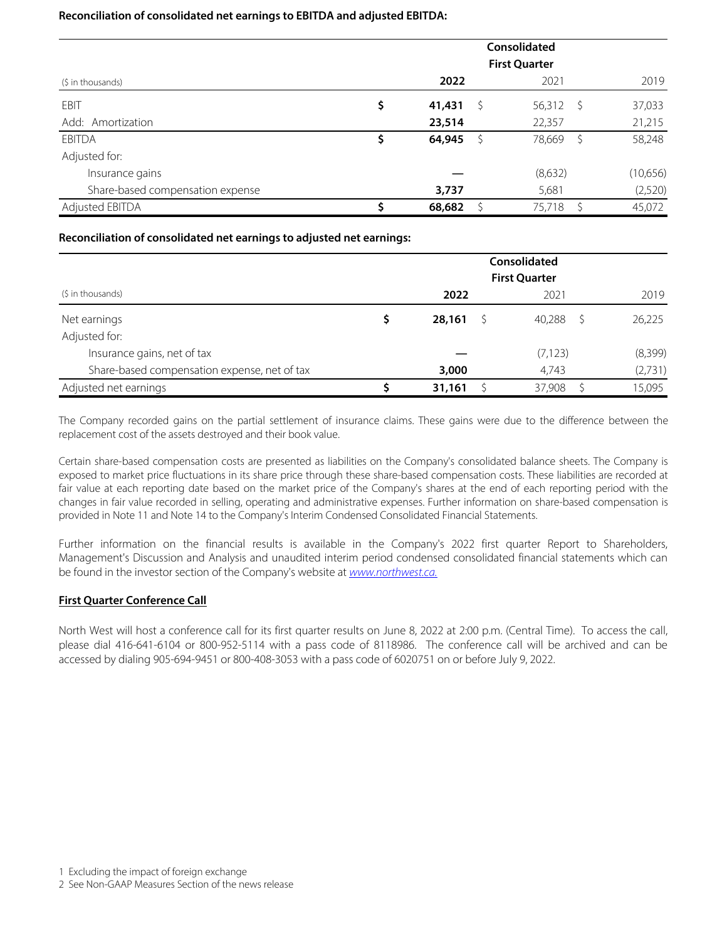#### **Reconciliation of consolidated net earnings to EBITDA and adjusted EBITDA:**

|                                  | Consolidated<br><b>First Quarter</b> |     |             |     |          |  |  |  |
|----------------------------------|--------------------------------------|-----|-------------|-----|----------|--|--|--|
| (\$ in thousands)                | 2022                                 |     | 2021        |     | 2019     |  |  |  |
| EBIT                             | \$<br>41,431                         | - S | $56,312$ \$ |     | 37,033   |  |  |  |
| Add: Amortization                | 23,514                               |     | 22,357      |     | 21,215   |  |  |  |
| <b>EBITDA</b>                    | \$<br>64,945                         | S   | 78,669      | - S | 58,248   |  |  |  |
| Adjusted for:                    |                                      |     |             |     |          |  |  |  |
| Insurance gains                  |                                      |     | (8,632)     |     | (10,656) |  |  |  |
| Share-based compensation expense | 3,737                                |     | 5,681       |     | (2,520)  |  |  |  |
| Adjusted EBITDA                  | 68,682                               |     | 75,718      |     | 45,072   |  |  |  |

### **Reconciliation of consolidated net earnings to adjusted net earnings:**

|                                              | Consolidated<br><b>First Quarter</b> |        |  |          |  |         |  |  |
|----------------------------------------------|--------------------------------------|--------|--|----------|--|---------|--|--|
| (\$ in thousands)                            |                                      | 2022   |  | 2021     |  | 2019    |  |  |
| Net earnings                                 |                                      | 28,161 |  | 40,288   |  | 26,225  |  |  |
| Adjusted for:                                |                                      |        |  |          |  |         |  |  |
| Insurance gains, net of tax                  |                                      |        |  | (7, 123) |  | (8,399) |  |  |
| Share-based compensation expense, net of tax |                                      | 3,000  |  | 4,743    |  | (2,731) |  |  |
| Adjusted net earnings                        |                                      | 31,161 |  | 37,908   |  | 15,095  |  |  |

The Company recorded gains on the partial settlement of insurance claims. These gains were due to the difference between the replacement cost of the assets destroyed and their book value.

Certain share-based compensation costs are presented as liabilities on the Company's consolidated balance sheets. The Company is exposed to market price fluctuations in its share price through these share-based compensation costs. These liabilities are recorded at fair value at each reporting date based on the market price of the Company's shares at the end of each reporting period with the changes in fair value recorded in selling, operating and administrative expenses. Further information on share-based compensation is provided in Note 11 and Note 14 to the Company's Interim Condensed Consolidated Financial Statements.

Further information on the financial results is available in the Company's 2022 first quarter Report to Shareholders, Management's Discussion and Analysis and unaudited interim period condensed consolidated financial statements which can be found in the investor section of the Company's website at [www.northwest.ca.](http://www.northwest.ca)

## **First Quarter Conference Call**

North West will host a conference call for its first quarter results on June 8, 2022 at 2:00 p.m. (Central Time). To access the call, please dial 416-641-6104 or 800-952-5114 with a pass code of 8118986. The conference call will be archived and can be accessed by dialing 905-694-9451 or 800-408-3053 with a pass code of 6020751 on or before July 9, 2022.

<sup>2</sup> See Non-GAAP Measures Section of the news release